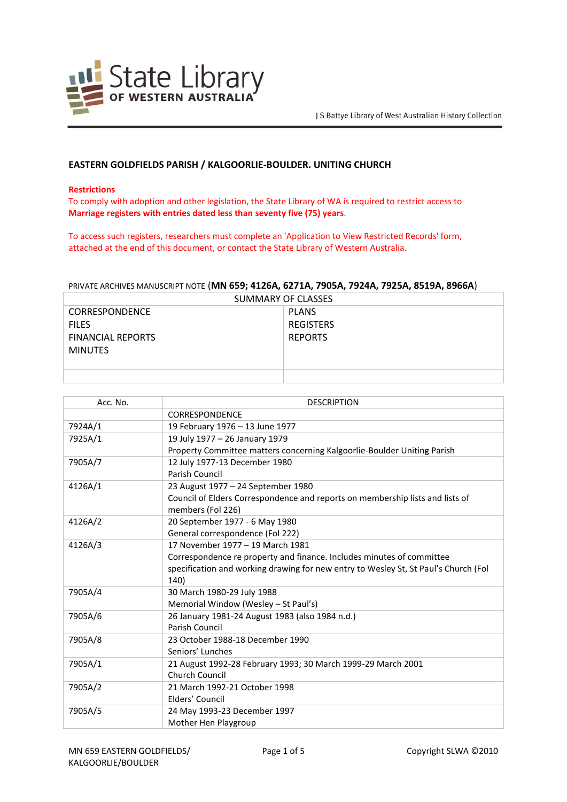

## **EASTERN GOLDFIELDS PARISH / KALGOORLIE-BOULDER. UNITING CHURCH**

## **Restrictions**

To comply with adoption and other legislation, the State Library of WA is required to restrict access to **Marriage registers with entries dated less than seventy five (75) years**.

To access such registers, researchers must complete an 'Application to View Restricted Records' form, attached at the end of this document, or contact the State Library of Western Australia.

## PRIVATE ARCHIVES MANUSCRIPT NOTE (**MN 659; 4126A, 6271A, 7905A, 7924A, 7925A, 8519A, 8966A**)

| SUMMARY OF CLASSES       |                  |  |
|--------------------------|------------------|--|
| <b>CORRESPONDENCE</b>    | <b>PLANS</b>     |  |
| <b>FILES</b>             | <b>REGISTERS</b> |  |
| <b>FINANCIAL REPORTS</b> | <b>REPORTS</b>   |  |
| <b>MINUTES</b>           |                  |  |
|                          |                  |  |
|                          |                  |  |

| Acc. No. | <b>DESCRIPTION</b>                                                                  |
|----------|-------------------------------------------------------------------------------------|
|          | CORRESPONDENCE                                                                      |
| 7924A/1  | 19 February 1976 - 13 June 1977                                                     |
| 7925A/1  | 19 July 1977 - 26 January 1979                                                      |
|          | Property Committee matters concerning Kalgoorlie-Boulder Uniting Parish             |
| 7905A/7  | 12 July 1977-13 December 1980                                                       |
|          | Parish Council                                                                      |
| 4126A/1  | 23 August 1977 - 24 September 1980                                                  |
|          | Council of Elders Correspondence and reports on membership lists and lists of       |
|          | members (Fol 226)                                                                   |
| 4126A/2  | 20 September 1977 - 6 May 1980                                                      |
|          | General correspondence (Fol 222)                                                    |
| 4126A/3  | 17 November 1977 - 19 March 1981                                                    |
|          | Correspondence re property and finance. Includes minutes of committee               |
|          | specification and working drawing for new entry to Wesley St, St Paul's Church (Fol |
|          | 140)                                                                                |
| 7905A/4  | 30 March 1980-29 July 1988                                                          |
|          | Memorial Window (Wesley - St Paul's)                                                |
| 7905A/6  | 26 January 1981-24 August 1983 (also 1984 n.d.)                                     |
|          | Parish Council                                                                      |
| 7905A/8  | 23 October 1988-18 December 1990                                                    |
|          | Seniors' Lunches                                                                    |
| 7905A/1  | 21 August 1992-28 February 1993; 30 March 1999-29 March 2001                        |
|          | Church Council                                                                      |
| 7905A/2  | 21 March 1992-21 October 1998                                                       |
|          | Elders' Council                                                                     |
| 7905A/5  | 24 May 1993-23 December 1997                                                        |
|          | Mother Hen Playgroup                                                                |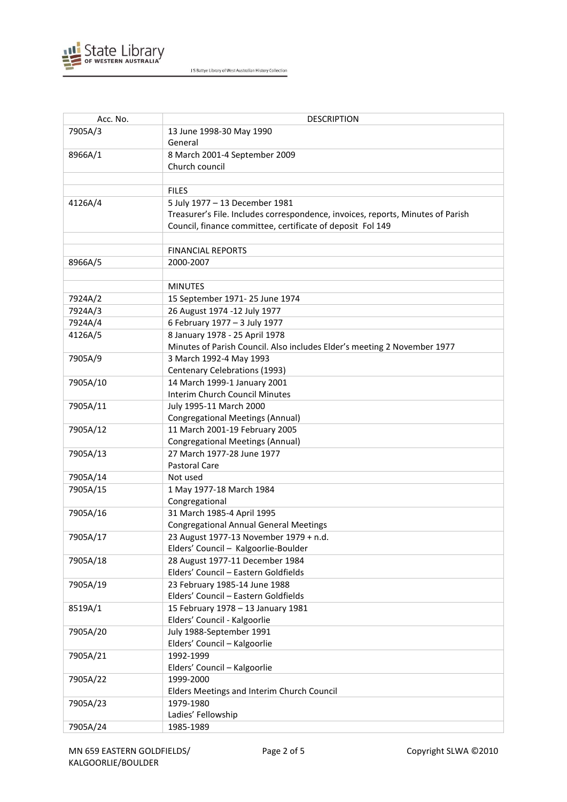

| Acc. No. | <b>DESCRIPTION</b>                                                              |
|----------|---------------------------------------------------------------------------------|
| 7905A/3  | 13 June 1998-30 May 1990                                                        |
|          | General                                                                         |
| 8966A/1  | 8 March 2001-4 September 2009                                                   |
|          | Church council                                                                  |
|          |                                                                                 |
|          | <b>FILES</b>                                                                    |
| 4126A/4  | 5 July 1977 - 13 December 1981                                                  |
|          | Treasurer's File. Includes correspondence, invoices, reports, Minutes of Parish |
|          | Council, finance committee, certificate of deposit Fol 149                      |
|          |                                                                                 |
|          | <b>FINANCIAL REPORTS</b>                                                        |
| 8966A/5  | 2000-2007                                                                       |
|          |                                                                                 |
|          | <b>MINUTES</b>                                                                  |
| 7924A/2  | 15 September 1971-25 June 1974                                                  |
| 7924A/3  | 26 August 1974 -12 July 1977                                                    |
| 7924A/4  | 6 February 1977 - 3 July 1977                                                   |
| 4126A/5  | 8 January 1978 - 25 April 1978                                                  |
|          | Minutes of Parish Council. Also includes Elder's meeting 2 November 1977        |
| 7905A/9  | 3 March 1992-4 May 1993                                                         |
|          | Centenary Celebrations (1993)                                                   |
| 7905A/10 | 14 March 1999-1 January 2001                                                    |
|          | <b>Interim Church Council Minutes</b>                                           |
| 7905A/11 | July 1995-11 March 2000                                                         |
|          | <b>Congregational Meetings (Annual)</b>                                         |
| 7905A/12 | 11 March 2001-19 February 2005                                                  |
|          | <b>Congregational Meetings (Annual)</b>                                         |
| 7905A/13 | 27 March 1977-28 June 1977                                                      |
|          | <b>Pastoral Care</b>                                                            |
| 7905A/14 | Not used                                                                        |
| 7905A/15 | 1 May 1977-18 March 1984                                                        |
|          | Congregational                                                                  |
| 7905A/16 | 31 March 1985-4 April 1995                                                      |
|          | <b>Congregational Annual General Meetings</b>                                   |
| 7905A/17 | 23 August 1977-13 November 1979 + n.d.                                          |
|          | Elders' Council - Kalgoorlie-Boulder                                            |
| 7905A/18 | 28 August 1977-11 December 1984                                                 |
|          | Elders' Council - Eastern Goldfields                                            |
| 7905A/19 | 23 February 1985-14 June 1988                                                   |
|          | Elders' Council - Eastern Goldfields                                            |
| 8519A/1  | 15 February 1978 - 13 January 1981                                              |
|          | Elders' Council - Kalgoorlie                                                    |
| 7905A/20 | July 1988-September 1991                                                        |
|          | Elders' Council - Kalgoorlie                                                    |
| 7905A/21 | 1992-1999                                                                       |
|          | Elders' Council - Kalgoorlie                                                    |
| 7905A/22 | 1999-2000                                                                       |
|          | Elders Meetings and Interim Church Council                                      |
| 7905A/23 | 1979-1980                                                                       |
|          | Ladies' Fellowship                                                              |
| 7905A/24 | 1985-1989                                                                       |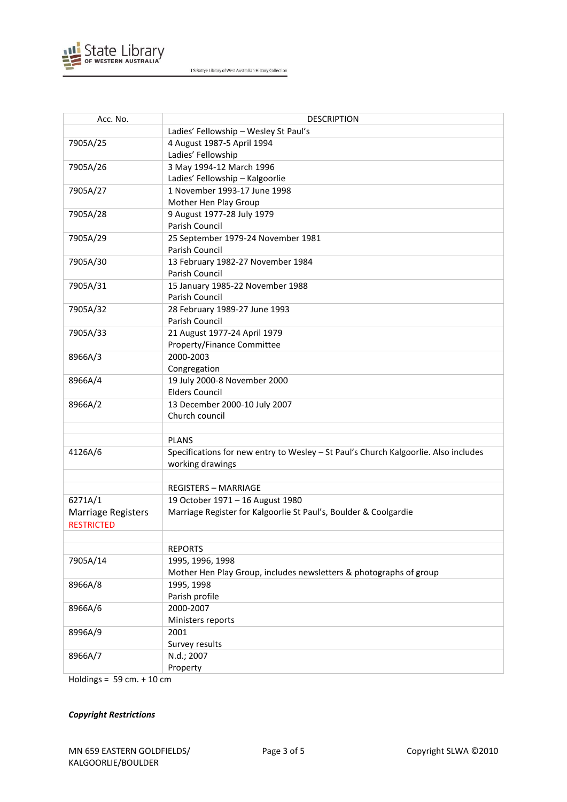

| Acc. No.                    | <b>DESCRIPTION</b>                                                                  |
|-----------------------------|-------------------------------------------------------------------------------------|
|                             | Ladies' Fellowship - Wesley St Paul's                                               |
| 7905A/25                    | 4 August 1987-5 April 1994                                                          |
|                             | Ladies' Fellowship                                                                  |
| 7905A/26                    | 3 May 1994-12 March 1996                                                            |
|                             | Ladies' Fellowship - Kalgoorlie                                                     |
| 7905A/27                    | 1 November 1993-17 June 1998                                                        |
|                             | Mother Hen Play Group                                                               |
| 7905A/28                    | 9 August 1977-28 July 1979                                                          |
|                             | Parish Council                                                                      |
| 7905A/29                    | 25 September 1979-24 November 1981                                                  |
|                             | Parish Council                                                                      |
| 7905A/30                    | 13 February 1982-27 November 1984                                                   |
|                             | Parish Council                                                                      |
| 7905A/31                    | 15 January 1985-22 November 1988                                                    |
|                             | Parish Council                                                                      |
| 7905A/32                    | 28 February 1989-27 June 1993                                                       |
|                             | Parish Council                                                                      |
| 7905A/33                    | 21 August 1977-24 April 1979                                                        |
|                             | Property/Finance Committee                                                          |
| 8966A/3                     | 2000-2003                                                                           |
|                             | Congregation                                                                        |
| 8966A/4                     | 19 July 2000-8 November 2000                                                        |
|                             | <b>Elders Council</b>                                                               |
| 8966A/2                     | 13 December 2000-10 July 2007                                                       |
|                             | Church council                                                                      |
|                             |                                                                                     |
|                             | <b>PLANS</b>                                                                        |
| 4126A/6                     | Specifications for new entry to Wesley - St Paul's Church Kalgoorlie. Also includes |
|                             | working drawings                                                                    |
|                             |                                                                                     |
|                             | <b>REGISTERS - MARRIAGE</b>                                                         |
| 6271A/1                     | 19 October 1971 - 16 August 1980                                                    |
| <b>Marriage Registers</b>   | Marriage Register for Kalgoorlie St Paul's, Boulder & Coolgardie                    |
| <b>RESTRICTED</b>           |                                                                                     |
|                             |                                                                                     |
|                             | <b>REPORTS</b>                                                                      |
| 7905A/14                    | 1995, 1996, 1998                                                                    |
|                             | Mother Hen Play Group, includes newsletters & photographs of group                  |
| 8966A/8                     | 1995, 1998                                                                          |
|                             | Parish profile                                                                      |
| 8966A/6                     | 2000-2007                                                                           |
|                             | Ministers reports                                                                   |
| 8996A/9                     | 2001                                                                                |
|                             | Survey results                                                                      |
| 8966A/7                     | N.d.; 2007                                                                          |
|                             | Property                                                                            |
| Holdings = $59$ cm. + 10 cm |                                                                                     |

*Copyright Restrictions*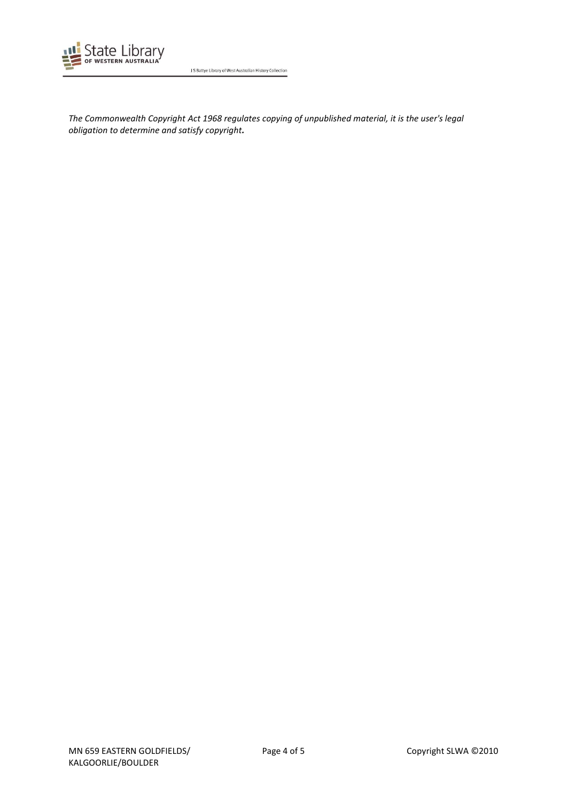

*The Commonwealth Copyright Act 1968 regulates copying of unpublished material, it is the user's legal obligation to determine and satisfy copyright.*